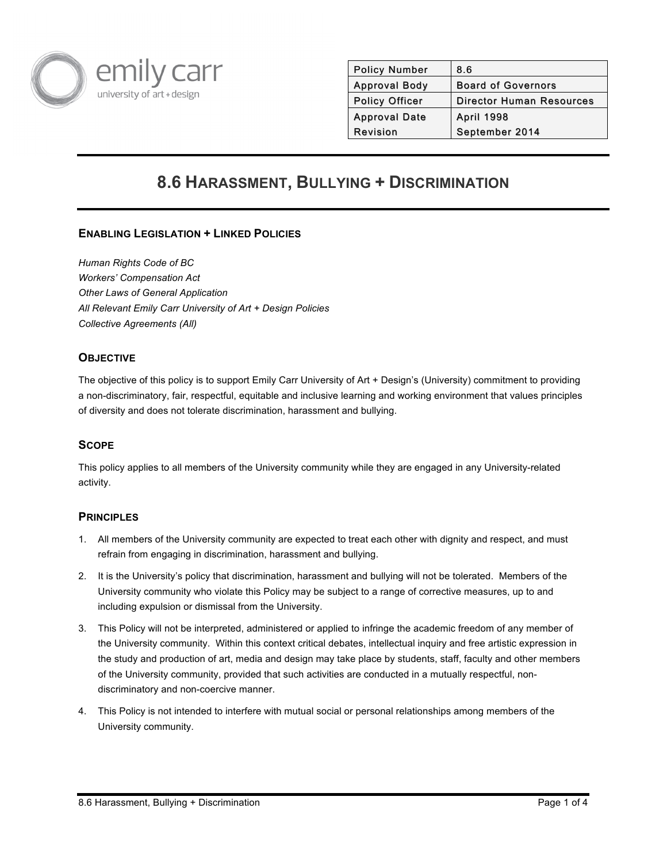

| <b>Policy Number</b>  | 8.6                             |
|-----------------------|---------------------------------|
| <b>Approval Body</b>  | <b>Board of Governors</b>       |
| <b>Policy Officer</b> | <b>Director Human Resources</b> |
| <b>Approval Date</b>  | <b>April 1998</b>               |
| Revision              | September 2014                  |
|                       |                                 |

# **8.6 HARASSMENT, BULLYING + DISCRIMINATION**

# **ENABLING LEGISLATION + LINKED POLICIES**

*Human Rights Code of BC Workers' Compensation Act Other Laws of General Application All Relevant Emily Carr University of Art + Design Policies Collective Agreements (All)*

## **OBJECTIVE**

The objective of this policy is to support Emily Carr University of Art + Design's (University) commitment to providing a non-discriminatory, fair, respectful, equitable and inclusive learning and working environment that values principles of diversity and does not tolerate discrimination, harassment and bullying.

#### **SCOPE**

This policy applies to all members of the University community while they are engaged in any University-related activity.

#### **PRINCIPLES**

- 1. All members of the University community are expected to treat each other with dignity and respect, and must refrain from engaging in discrimination, harassment and bullying.
- 2. It is the University's policy that discrimination, harassment and bullying will not be tolerated. Members of the University community who violate this Policy may be subject to a range of corrective measures, up to and including expulsion or dismissal from the University.
- 3. This Policy will not be interpreted, administered or applied to infringe the academic freedom of any member of the University community. Within this context critical debates, intellectual inquiry and free artistic expression in the study and production of art, media and design may take place by students, staff, faculty and other members of the University community, provided that such activities are conducted in a mutually respectful, nondiscriminatory and non-coercive manner.
- 4. This Policy is not intended to interfere with mutual social or personal relationships among members of the University community.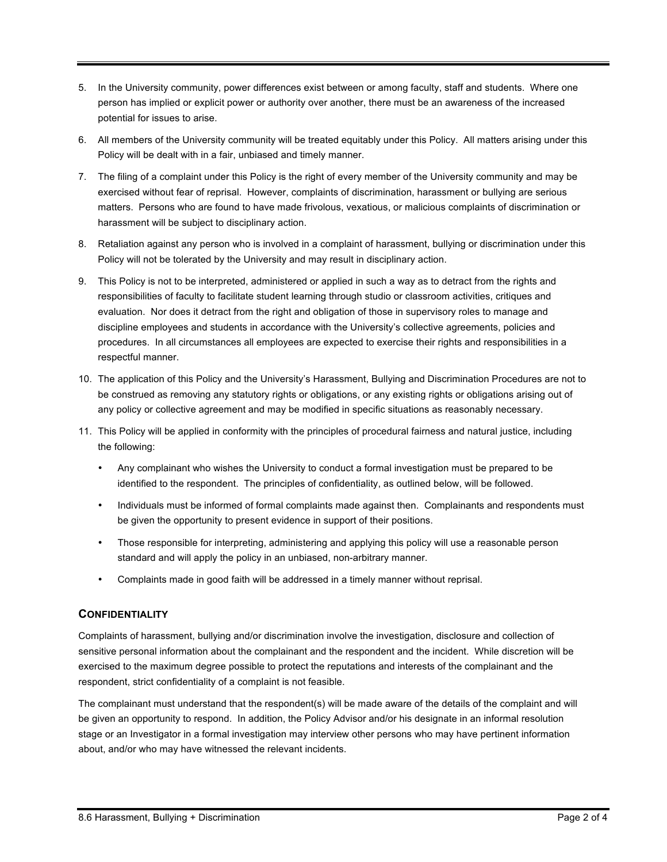- 5. In the University community, power differences exist between or among faculty, staff and students. Where one person has implied or explicit power or authority over another, there must be an awareness of the increased potential for issues to arise.
- 6. All members of the University community will be treated equitably under this Policy. All matters arising under this Policy will be dealt with in a fair, unbiased and timely manner.
- 7. The filing of a complaint under this Policy is the right of every member of the University community and may be exercised without fear of reprisal. However, complaints of discrimination, harassment or bullying are serious matters. Persons who are found to have made frivolous, vexatious, or malicious complaints of discrimination or harassment will be subject to disciplinary action.
- 8. Retaliation against any person who is involved in a complaint of harassment, bullying or discrimination under this Policy will not be tolerated by the University and may result in disciplinary action.
- 9. This Policy is not to be interpreted, administered or applied in such a way as to detract from the rights and responsibilities of faculty to facilitate student learning through studio or classroom activities, critiques and evaluation. Nor does it detract from the right and obligation of those in supervisory roles to manage and discipline employees and students in accordance with the University's collective agreements, policies and procedures. In all circumstances all employees are expected to exercise their rights and responsibilities in a respectful manner.
- 10. The application of this Policy and the University's Harassment, Bullying and Discrimination Procedures are not to be construed as removing any statutory rights or obligations, or any existing rights or obligations arising out of any policy or collective agreement and may be modified in specific situations as reasonably necessary.
- 11. This Policy will be applied in conformity with the principles of procedural fairness and natural justice, including the following:
	- Any complainant who wishes the University to conduct a formal investigation must be prepared to be identified to the respondent. The principles of confidentiality, as outlined below, will be followed.
	- Individuals must be informed of formal complaints made against then. Complainants and respondents must be given the opportunity to present evidence in support of their positions.
	- Those responsible for interpreting, administering and applying this policy will use a reasonable person standard and will apply the policy in an unbiased, non-arbitrary manner.
	- Complaints made in good faith will be addressed in a timely manner without reprisal.

## **CONFIDENTIALITY**

Complaints of harassment, bullying and/or discrimination involve the investigation, disclosure and collection of sensitive personal information about the complainant and the respondent and the incident. While discretion will be exercised to the maximum degree possible to protect the reputations and interests of the complainant and the respondent, strict confidentiality of a complaint is not feasible.

The complainant must understand that the respondent(s) will be made aware of the details of the complaint and will be given an opportunity to respond. In addition, the Policy Advisor and/or his designate in an informal resolution stage or an Investigator in a formal investigation may interview other persons who may have pertinent information about, and/or who may have witnessed the relevant incidents.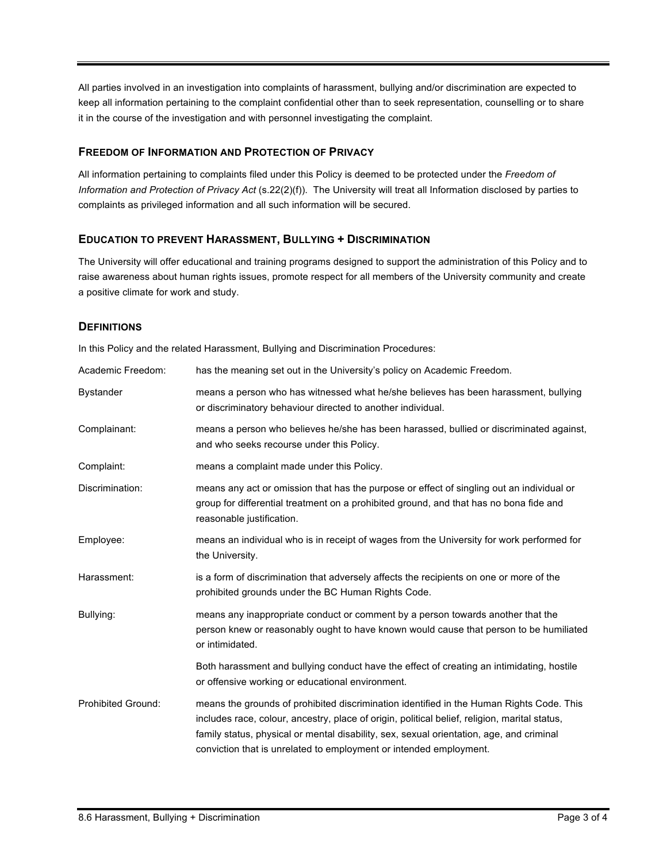All parties involved in an investigation into complaints of harassment, bullying and/or discrimination are expected to keep all information pertaining to the complaint confidential other than to seek representation, counselling or to share it in the course of the investigation and with personnel investigating the complaint.

## **FREEDOM OF INFORMATION AND PROTECTION OF PRIVACY**

All information pertaining to complaints filed under this Policy is deemed to be protected under the *Freedom of Information and Protection of Privacy Act* (s.22(2)(f)). The University will treat all Information disclosed by parties to complaints as privileged information and all such information will be secured.

# **EDUCATION TO PREVENT HARASSMENT, BULLYING + DISCRIMINATION**

The University will offer educational and training programs designed to support the administration of this Policy and to raise awareness about human rights issues, promote respect for all members of the University community and create a positive climate for work and study.

## **DEFINITIONS**

In this Policy and the related Harassment, Bullying and Discrimination Procedures:

| Academic Freedom:         | has the meaning set out in the University's policy on Academic Freedom.                                                                                                                                                                                                                                                                                     |
|---------------------------|-------------------------------------------------------------------------------------------------------------------------------------------------------------------------------------------------------------------------------------------------------------------------------------------------------------------------------------------------------------|
| <b>Bystander</b>          | means a person who has witnessed what he/she believes has been harassment, bullying<br>or discriminatory behaviour directed to another individual.                                                                                                                                                                                                          |
| Complainant:              | means a person who believes he/she has been harassed, bullied or discriminated against,<br>and who seeks recourse under this Policy.                                                                                                                                                                                                                        |
| Complaint:                | means a complaint made under this Policy.                                                                                                                                                                                                                                                                                                                   |
| Discrimination:           | means any act or omission that has the purpose or effect of singling out an individual or<br>group for differential treatment on a prohibited ground, and that has no bona fide and<br>reasonable justification.                                                                                                                                            |
| Employee:                 | means an individual who is in receipt of wages from the University for work performed for<br>the University.                                                                                                                                                                                                                                                |
| Harassment:               | is a form of discrimination that adversely affects the recipients on one or more of the<br>prohibited grounds under the BC Human Rights Code.                                                                                                                                                                                                               |
| Bullying:                 | means any inappropriate conduct or comment by a person towards another that the<br>person knew or reasonably ought to have known would cause that person to be humiliated<br>or intimidated.                                                                                                                                                                |
|                           | Both harassment and bullying conduct have the effect of creating an intimidating, hostile<br>or offensive working or educational environment.                                                                                                                                                                                                               |
| <b>Prohibited Ground:</b> | means the grounds of prohibited discrimination identified in the Human Rights Code. This<br>includes race, colour, ancestry, place of origin, political belief, religion, marital status,<br>family status, physical or mental disability, sex, sexual orientation, age, and criminal<br>conviction that is unrelated to employment or intended employment. |